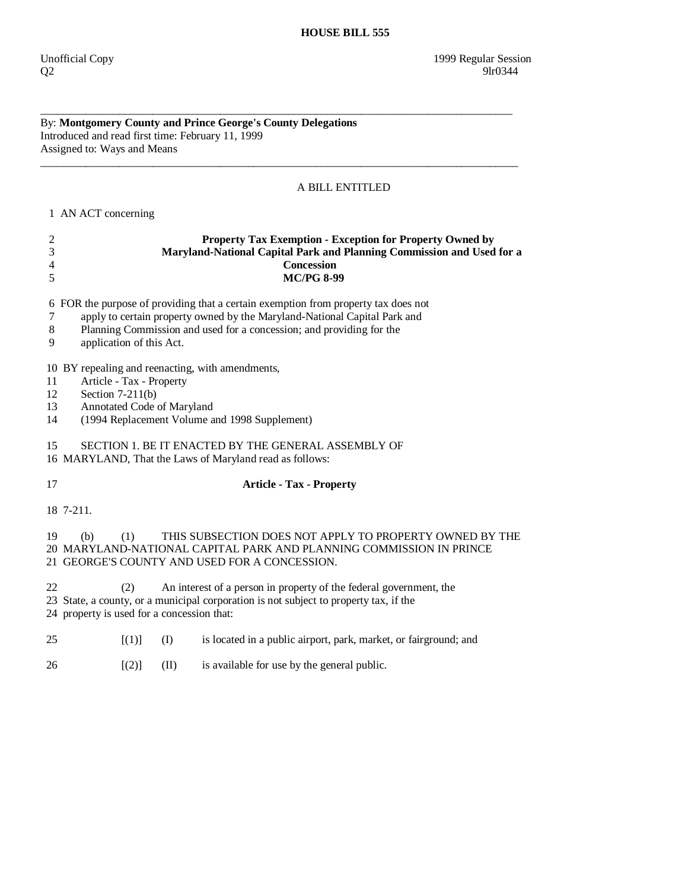$Q2$  9lr0344

## By: **Montgomery County and Prince George's County Delegations**  Introduced and read first time: February 11, 1999 Assigned to: Ways and Means

## A BILL ENTITLED

\_\_\_\_\_\_\_\_\_\_\_\_\_\_\_\_\_\_\_\_\_\_\_\_\_\_\_\_\_\_\_\_\_\_\_\_\_\_\_\_\_\_\_\_\_\_\_\_\_\_\_\_\_\_\_\_\_\_\_\_\_\_\_\_\_\_\_\_\_\_\_\_\_\_\_\_\_\_\_\_\_\_\_\_

\_\_\_\_\_\_\_\_\_\_\_\_\_\_\_\_\_\_\_\_\_\_\_\_\_\_\_\_\_\_\_\_\_\_\_\_\_\_\_\_\_\_\_\_\_\_\_\_\_\_\_\_\_\_\_\_\_\_\_\_\_\_\_\_\_\_\_\_\_\_\_\_\_\_\_\_\_\_\_\_\_\_\_\_\_

 **HOUSE BILL 555** 

1 AN ACT concerning

| $\frac{2}{3}$<br>$\overline{4}$<br>5                                                                                                                                                                                   | Property Tax Exemption - Exception for Property Owned by<br>Maryland-National Capital Park and Planning Commission and Used for a<br><b>Concession</b><br><b>MC/PG 8-99</b>                                                                                         |      |                                                                  |  |
|------------------------------------------------------------------------------------------------------------------------------------------------------------------------------------------------------------------------|---------------------------------------------------------------------------------------------------------------------------------------------------------------------------------------------------------------------------------------------------------------------|------|------------------------------------------------------------------|--|
| 7<br>8<br>9                                                                                                                                                                                                            | 6 FOR the purpose of providing that a certain exemption from property tax does not<br>apply to certain property owned by the Maryland-National Capital Park and<br>Planning Commission and used for a concession; and providing for the<br>application of this Act. |      |                                                                  |  |
| 11<br>12<br>13<br>14                                                                                                                                                                                                   | 10 BY repealing and reenacting, with amendments,<br>Article - Tax - Property<br>Section $7-211(b)$<br>Annotated Code of Maryland<br>(1994 Replacement Volume and 1998 Supplement)                                                                                   |      |                                                                  |  |
| 15<br>SECTION 1. BE IT ENACTED BY THE GENERAL ASSEMBLY OF<br>16 MARYLAND, That the Laws of Maryland read as follows:                                                                                                   |                                                                                                                                                                                                                                                                     |      |                                                                  |  |
| 17                                                                                                                                                                                                                     | <b>Article - Tax - Property</b>                                                                                                                                                                                                                                     |      |                                                                  |  |
|                                                                                                                                                                                                                        | 18 7-211.                                                                                                                                                                                                                                                           |      |                                                                  |  |
| 19                                                                                                                                                                                                                     | THIS SUBSECTION DOES NOT APPLY TO PROPERTY OWNED BY THE<br>(1)<br>(b)<br>20 MARYLAND-NATIONAL CAPITAL PARK AND PLANNING COMMISSION IN PRINCE<br>21 GEORGE'S COUNTY AND USED FOR A CONCESSION.                                                                       |      |                                                                  |  |
| 22<br>An interest of a person in property of the federal government, the<br>(2)<br>23 State, a county, or a municipal corporation is not subject to property tax, if the<br>24 property is used for a concession that: |                                                                                                                                                                                                                                                                     |      |                                                                  |  |
| 25                                                                                                                                                                                                                     | [(1)]                                                                                                                                                                                                                                                               | (I)  | is located in a public airport, park, market, or fairground; and |  |
| 26                                                                                                                                                                                                                     | [(2)]                                                                                                                                                                                                                                                               | (II) | is available for use by the general public.                      |  |
|                                                                                                                                                                                                                        |                                                                                                                                                                                                                                                                     |      |                                                                  |  |
|                                                                                                                                                                                                                        |                                                                                                                                                                                                                                                                     |      |                                                                  |  |